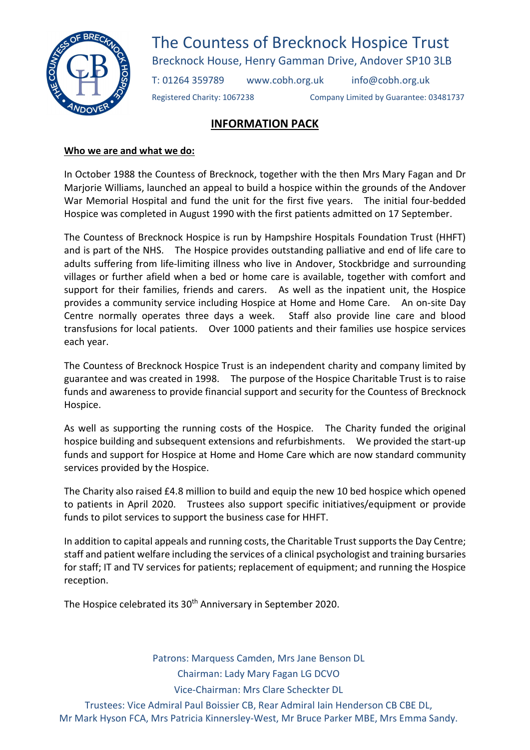

The Countess of Brecknock Hospice Trust Brecknock House, Henry Gamman Drive, Andover SP10 3LB

T: 01264 359789 www.cobh.org.uk info@cobh.org.uk

Registered Charity: 1067238 Company Limited by Guarantee: 03481737

## INFORMATION PACK

## Who we are and what we do:

In October 1988 the Countess of Brecknock, together with the then Mrs Mary Fagan and Dr Marjorie Williams, launched an appeal to build a hospice within the grounds of the Andover War Memorial Hospital and fund the unit for the first five years. The initial four-bedded Hospice was completed in August 1990 with the first patients admitted on 17 September.

The Countess of Brecknock Hospice is run by Hampshire Hospitals Foundation Trust (HHFT) and is part of the NHS. The Hospice provides outstanding palliative and end of life care to adults suffering from life-limiting illness who live in Andover, Stockbridge and surrounding villages or further afield when a bed or home care is available, together with comfort and support for their families, friends and carers. As well as the inpatient unit, the Hospice provides a community service including Hospice at Home and Home Care. An on-site Day Centre normally operates three days a week. Staff also provide line care and blood transfusions for local patients. Over 1000 patients and their families use hospice services each year.

The Countess of Brecknock Hospice Trust is an independent charity and company limited by guarantee and was created in 1998. The purpose of the Hospice Charitable Trust is to raise funds and awareness to provide financial support and security for the Countess of Brecknock Hospice.

As well as supporting the running costs of the Hospice. The Charity funded the original hospice building and subsequent extensions and refurbishments. We provided the start-up funds and support for Hospice at Home and Home Care which are now standard community services provided by the Hospice.

The Charity also raised £4.8 million to build and equip the new 10 bed hospice which opened to patients in April 2020. Trustees also support specific initiatives/equipment or provide funds to pilot services to support the business case for HHFT.

In addition to capital appeals and running costs, the Charitable Trust supports the Day Centre; staff and patient welfare including the services of a clinical psychologist and training bursaries for staff; IT and TV services for patients; replacement of equipment; and running the Hospice reception.

The Hospice celebrated its 30<sup>th</sup> Anniversary in September 2020.

Patrons: Marquess Camden, Mrs Jane Benson DL Chairman: Lady Mary Fagan LG DCVO Vice-Chairman: Mrs Clare Scheckter DL

Trustees: Vice Admiral Paul Boissier CB, Rear Admiral Iain Henderson CB CBE DL, Mr Mark Hyson FCA, Mrs Patricia Kinnersley-West, Mr Bruce Parker MBE, Mrs Emma Sandy.